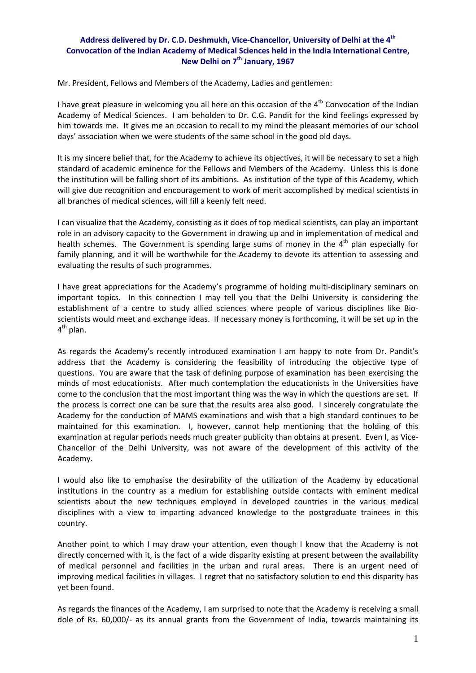## **Address delivered by Dr. C.D. Deshmukh, Vice‐Chancellor, University of Delhi at the 4th Convocation of the Indian Academy of Medical Sciences held in the India International Centre, New Delhi on 7th January, 1967**

Mr. President, Fellows and Members of the Academy, Ladies and gentlemen:

I have great pleasure in welcoming you all here on this occasion of the  $4<sup>th</sup>$  Convocation of the Indian Academy of Medical Sciences. I am beholden to Dr. C.G. Pandit for the kind feelings expressed by him towards me. It gives me an occasion to recall to my mind the pleasant memories of our school days' association when we were students of the same school in the good old days.

It is my sincere belief that, for the Academy to achieve its objectives, it will be necessary to set a high standard of academic eminence for the Fellows and Members of the Academy. Unless this is done the institution will be falling short of its ambitions. As institution of the type of this Academy, which will give due recognition and encouragement to work of merit accomplished by medical scientists in all branches of medical sciences, will fill a keenly felt need.

I can visualize that the Academy, consisting as it does of top medical scientists, can play an important role in an advisory capacity to the Government in drawing up and in implementation of medical and health schemes. The Government is spending large sums of money in the  $4<sup>th</sup>$  plan especially for family planning, and it will be worthwhile for the Academy to devote its attention to assessing and evaluating the results of such programmes.

I have great appreciations for the Academy's programme of holding multi‐disciplinary seminars on important topics. In this connection I may tell you that the Delhi University is considering the establishment of a centre to study allied sciences where people of various disciplines like Bioscientists would meet and exchange ideas. If necessary money is forthcoming, it will be set up in the 4<sup>th</sup> plan.

As regards the Academy's recently introduced examination I am happy to note from Dr. Pandit's address that the Academy is considering the feasibility of introducing the objective type of questions. You are aware that the task of defining purpose of examination has been exercising the minds of most educationists. After much contemplation the educationists in the Universities have come to the conclusion that the most important thing was the way in which the questions are set. If the process is correct one can be sure that the results area also good. I sincerely congratulate the Academy for the conduction of MAMS examinations and wish that a high standard continues to be maintained for this examination. I, however, cannot help mentioning that the holding of this examination at regular periods needs much greater publicity than obtains at present. Even I, as Vice‐ Chancellor of the Delhi University, was not aware of the development of this activity of the Academy.

I would also like to emphasise the desirability of the utilization of the Academy by educational institutions in the country as a medium for establishing outside contacts with eminent medical scientists about the new techniques employed in developed countries in the various medical disciplines with a view to imparting advanced knowledge to the postgraduate trainees in this country.

Another point to which I may draw your attention, even though I know that the Academy is not directly concerned with it, is the fact of a wide disparity existing at present between the availability of medical personnel and facilities in the urban and rural areas. There is an urgent need of improving medical facilities in villages. I regret that no satisfactory solution to end this disparity has yet been found.

As regards the finances of the Academy, I am surprised to note that the Academy is receiving a small dole of Rs. 60,000/‐ as its annual grants from the Government of India, towards maintaining its